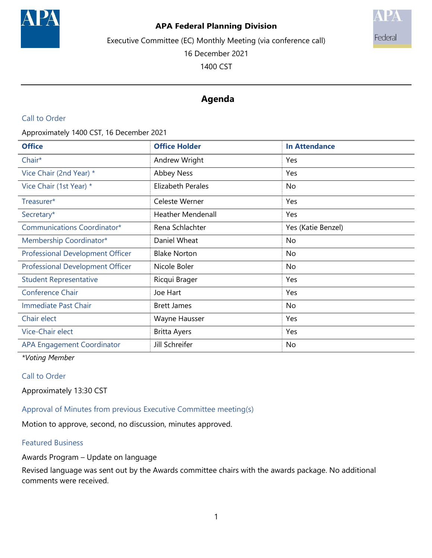

# **APA Federal Planning Division**



16 December 2021

1400 CST



# **Agenda**

## Call to Order

Approximately 1400 CST, 16 December 2021

| <b>Office</b>                           | <b>Office Holder</b>     | <b>In Attendance</b> |
|-----------------------------------------|--------------------------|----------------------|
| Chair*                                  | Andrew Wright            | Yes                  |
| Vice Chair (2nd Year) *                 | <b>Abbey Ness</b>        | Yes                  |
| Vice Chair (1st Year) *                 | Elizabeth Perales        | No                   |
| Treasurer*                              | Celeste Werner           | Yes                  |
| Secretary*                              | <b>Heather Mendenall</b> | Yes                  |
| Communications Coordinator*             | Rena Schlachter          | Yes (Katie Benzel)   |
| Membership Coordinator*                 | Daniel Wheat             | No                   |
| <b>Professional Development Officer</b> | <b>Blake Norton</b>      | No                   |
| <b>Professional Development Officer</b> | Nicole Boler             | No                   |
| <b>Student Representative</b>           | Ricqui Brager            | Yes                  |
| Conference Chair                        | Joe Hart                 | Yes                  |
| Immediate Past Chair                    | <b>Brett James</b>       | No                   |
| Chair elect                             | Wayne Hausser            | Yes                  |
| Vice-Chair elect                        | <b>Britta Ayers</b>      | Yes                  |
| <b>APA Engagement Coordinator</b>       | Jill Schreifer           | No                   |

*\*Voting Member*

## Call to Order

Approximately 13:30 CST

Approval of Minutes from previous Executive Committee meeting(s)

Motion to approve, second, no discussion, minutes approved.

#### Featured Business

Awards Program – Update on language

Revised language was sent out by the Awards committee chairs with the awards package. No additional comments were received.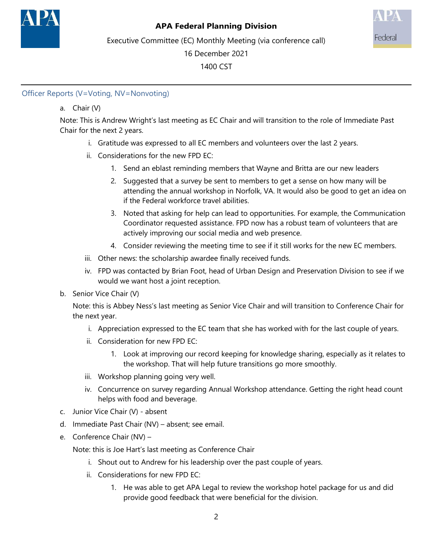



Executive Committee (EC) Monthly Meeting (via conference call)

16 December 2021

1400 CST

# Officer Reports (V=Voting, NV=Nonvoting)

# a. Chair (V)

Note: This is Andrew Wright's last meeting as EC Chair and will transition to the role of Immediate Past Chair for the next 2 years.

- i. Gratitude was expressed to all EC members and volunteers over the last 2 years.
- ii. Considerations for the new FPD EC:
	- 1. Send an eblast reminding members that Wayne and Britta are our new leaders
	- 2. Suggested that a survey be sent to members to get a sense on how many will be attending the annual workshop in Norfolk, VA. It would also be good to get an idea on if the Federal workforce travel abilities.
	- 3. Noted that asking for help can lead to opportunities. For example, the Communication Coordinator requested assistance. FPD now has a robust team of volunteers that are actively improving our social media and web presence.
	- 4. Consider reviewing the meeting time to see if it still works for the new EC members.
- iii. Other news: the scholarship awardee finally received funds.
- iv. FPD was contacted by Brian Foot, head of Urban Design and Preservation Division to see if we would we want host a joint reception.
- b. Senior Vice Chair (V)

Note: this is Abbey Ness's last meeting as Senior Vice Chair and will transition to Conference Chair for the next year.

- i. Appreciation expressed to the EC team that she has worked with for the last couple of years.
- ii. Consideration for new FPD EC:
	- 1. Look at improving our record keeping for knowledge sharing, especially as it relates to the workshop. That will help future transitions go more smoothly.
- iii. Workshop planning going very well.
- iv. Concurrence on survey regarding Annual Workshop attendance. Getting the right head count helps with food and beverage.
- c. Junior Vice Chair (V) absent
- d. Immediate Past Chair (NV) absent; see email.
- e. Conference Chair (NV) –

Note: this is Joe Hart's last meeting as Conference Chair

- i. Shout out to Andrew for his leadership over the past couple of years.
- ii. Considerations for new FPD EC:
	- 1. He was able to get APA Legal to review the workshop hotel package for us and did provide good feedback that were beneficial for the division.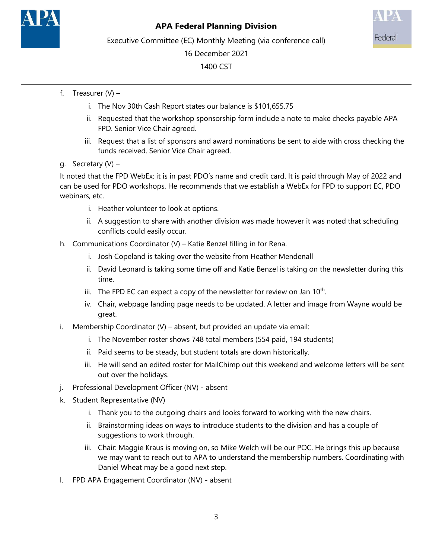



Executive Committee (EC) Monthly Meeting (via conference call)

16 December 2021

1400 CST

- f. Treasurer  $(V)$ 
	- i. The Nov 30th Cash Report states our balance is \$101,655.75
	- ii. Requested that the workshop sponsorship form include a note to make checks payable APA FPD. Senior Vice Chair agreed.
	- iii. Request that a list of sponsors and award nominations be sent to aide with cross checking the funds received. Senior Vice Chair agreed.
- g. Secretary (V) –

It noted that the FPD WebEx: it is in past PDO's name and credit card. It is paid through May of 2022 and can be used for PDO workshops. He recommends that we establish a WebEx for FPD to support EC, PDO webinars, etc.

- i. Heather volunteer to look at options.
- ii. A suggestion to share with another division was made however it was noted that scheduling conflicts could easily occur.
- h. Communications Coordinator (V) Katie Benzel filling in for Rena.
	- i. Josh Copeland is taking over the website from Heather Mendenall
	- ii. David Leonard is taking some time off and Katie Benzel is taking on the newsletter during this time.
	- iii. The FPD EC can expect a copy of the newsletter for review on Jan  $10<sup>th</sup>$ .
	- iv. Chair, webpage landing page needs to be updated. A letter and image from Wayne would be great.
- i. Membership Coordinator (V) absent, but provided an update via email:
	- i. The November roster shows 748 total members (554 paid, 194 students)
	- ii. Paid seems to be steady, but student totals are down historically.
	- iii. He will send an edited roster for MailChimp out this weekend and welcome letters will be sent out over the holidays.
- j. Professional Development Officer (NV) absent
- k. Student Representative (NV)
	- i. Thank you to the outgoing chairs and looks forward to working with the new chairs.
	- ii. Brainstorming ideas on ways to introduce students to the division and has a couple of suggestions to work through.
	- iii. Chair: Maggie Kraus is moving on, so Mike Welch will be our POC. He brings this up because we may want to reach out to APA to understand the membership numbers. Coordinating with Daniel Wheat may be a good next step.
- l. FPD APA Engagement Coordinator (NV) absent